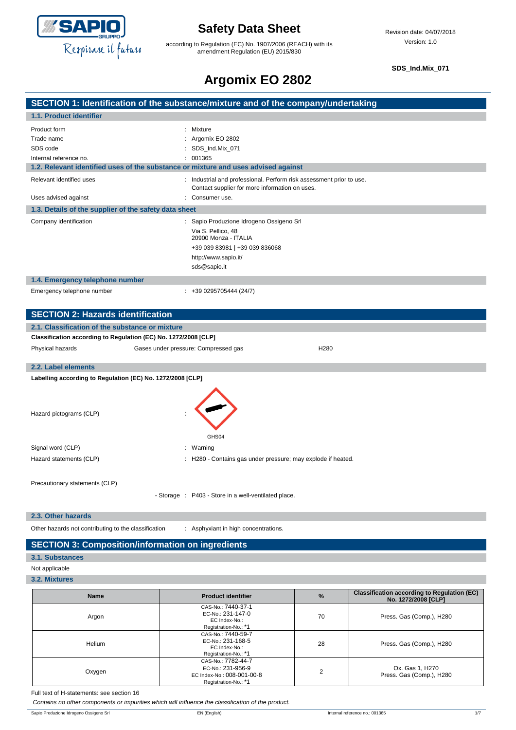

according to Regulation (EC) No. 1907/2006 (REACH) with its amendment Regulation (EU) 2015/830

**SDS\_Ind.Mix\_071**

# **Argomix EO 2802**

### **SECTION 1: Identification of the substance/mixture and of the company/undertaking 1.1. Product identifier** Product form : Mixture Trade name : Argomix EO 2802 SDS code : SDS\_Ind.Mix\_071 Internal reference no. <br>  $\qquad \qquad$  : 001365 **1.2. Relevant identified uses of the substance or mixture and uses advised against** Relevant identified uses : Industrial and professional. Perform risk assessment prior to use. Contact supplier for more information on uses. Uses advised against **intervalsed** and the consumer use. **1.3. Details of the supplier of the safety data sheet** Company identification : Sapio Produzione Idrogeno Ossigeno Srl Via S. Pellico, 48 20900 Monza - ITALIA +39 039 83981 | +39 039 836068 http://www.sapio.it/ sds@sapio.it **1.4. Emergency telephone number** Emergency telephone number : +39 0295705444 (24/7) **SECTION 2: Hazards identification 2.1. Classification of the substance or mixture**

#### **Classification according to Regulation (EC) No. 1272/2008 [CLP]**

| Crassmoation according to regulation (EO) No. 12/2/2000 [OEI ] |                                      |                  |  |  |  |
|----------------------------------------------------------------|--------------------------------------|------------------|--|--|--|
| Physical hazards                                               | Gases under pressure: Compressed gas | H <sub>280</sub> |  |  |  |
| 2.2. Label elements                                            |                                      |                  |  |  |  |
| Labelling according to Regulation (EC) No. 1272/2008 [CLP]     |                                      |                  |  |  |  |

| Hazard pictograms (CLP) | $\bullet$<br>$\blacksquare$                                  |
|-------------------------|--------------------------------------------------------------|
|                         | GHS04                                                        |
| Signal word (CLP)       | : Warning                                                    |
| Hazard statements (CLP) | : H280 - Contains gas under pressure; may explode if heated. |
|                         |                                                              |
|                         |                                                              |

Precautionary statements (CLP)

- Storage : P403 - Store in a well-ventilated place.

#### **2.3. Other hazards**

Other hazards not contributing to the classification : Asphyxiant in high concentrations.

### **SECTION 3: Composition/information on ingredients**

#### **3.1. Substances**

Not applicable

#### **3.2. Mixtures**

| <b>Name</b> | <b>Product identifier</b>                                                                     | $\frac{9}{6}$ | <b>Classification according to Regulation (EC)</b><br>No. 1272/2008 [CLP] |
|-------------|-----------------------------------------------------------------------------------------------|---------------|---------------------------------------------------------------------------|
| Argon       | CAS-No.: 7440-37-1<br>EC-No.: 231-147-0<br>EC Index-No.:<br>Registration-No.: *1              | 70            | Press. Gas (Comp.), H280                                                  |
| Helium      | CAS-No.: 7440-59-7<br>EC-No.: 231-168-5<br>EC Index-No.:<br>Registration-No.: *1              | 28            | Press. Gas (Comp.), H280                                                  |
| Oxygen      | CAS-No.: 7782-44-7<br>EC-No.: 231-956-9<br>EC Index-No.: 008-001-00-8<br>Registration-No.: *1 | 2             | Ox. Gas 1, H270<br>Press. Gas (Comp.), H280                               |

Full text of H-statements: see section 16

*Contains no other components or impurities which will influence the classification of the product.*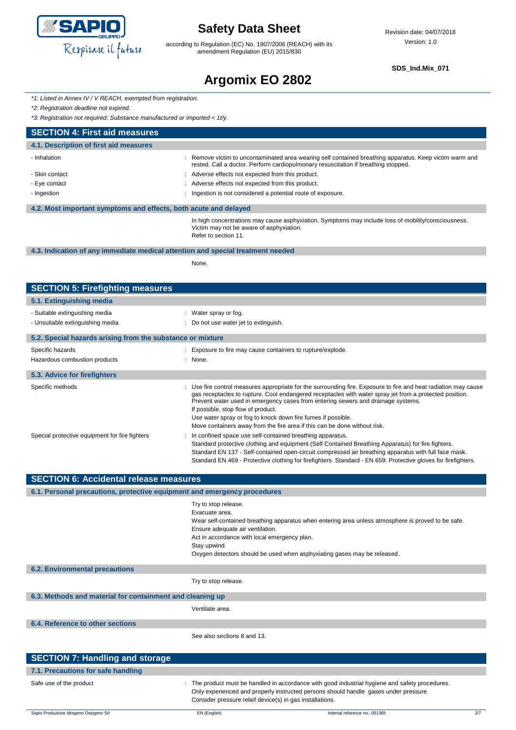

according to Regulation (EC) No. 1907/2006 (REACH) with its amendment Regulation (EU) 2015/830

**SDS\_Ind.Mix\_071**

# **Argomix EO 2802**

|  | *1: Listed in Annex IV / V REACH, exempted from registration. |  |  |  |
|--|---------------------------------------------------------------|--|--|--|
|--|---------------------------------------------------------------|--|--|--|

*\*2: Registration deadline not expired.*

*\*3: Registration not required: Substance manufactured or imported < 1t/y.*

| <b>SECTION 4: First aid measures</b>                             |                                                                                                                                                                                             |
|------------------------------------------------------------------|---------------------------------------------------------------------------------------------------------------------------------------------------------------------------------------------|
| 4.1. Description of first aid measures                           |                                                                                                                                                                                             |
| - Inhalation                                                     | Remove victim to uncontaminated area wearing self contained breathing apparatus. Keep victim warm and<br>rested. Call a doctor. Perform cardiopulmonary resuscitation if breathing stopped. |
| - Skin contact                                                   | : Adverse effects not expected from this product.                                                                                                                                           |
| - Eye contact                                                    | : Adverse effects not expected from this product.                                                                                                                                           |
| - Ingestion                                                      | Ingestion is not considered a potential route of exposure.                                                                                                                                  |
| 4.2. Most important symptoms and effects, both acute and delayed |                                                                                                                                                                                             |
|                                                                  | In high concentrations may cause asphyxiation. Symptoms may include loss of mobility/consciousness.<br>Victim may not be aware of asphyxiation.<br>Refer to section 11.                     |

#### **4.3. Indication of any immediate medical attention and special treatment needed**

None.

| <b>SECTION 5: Firefighting measures</b>                    |                                                                                                                                                                                                                                                                                                                                                                                                                                                                                                   |
|------------------------------------------------------------|---------------------------------------------------------------------------------------------------------------------------------------------------------------------------------------------------------------------------------------------------------------------------------------------------------------------------------------------------------------------------------------------------------------------------------------------------------------------------------------------------|
| 5.1. Extinguishing media                                   |                                                                                                                                                                                                                                                                                                                                                                                                                                                                                                   |
| - Suitable extinguishing media                             | : Water spray or fog.                                                                                                                                                                                                                                                                                                                                                                                                                                                                             |
| - Unsuitable extinguishing media                           | : Do not use water jet to extinguish.                                                                                                                                                                                                                                                                                                                                                                                                                                                             |
| 5.2. Special hazards arising from the substance or mixture |                                                                                                                                                                                                                                                                                                                                                                                                                                                                                                   |
| Specific hazards                                           | : Exposure to fire may cause containers to rupture/explode.                                                                                                                                                                                                                                                                                                                                                                                                                                       |
| Hazardous combustion products                              | : None.                                                                                                                                                                                                                                                                                                                                                                                                                                                                                           |
| 5.3. Advice for firefighters                               |                                                                                                                                                                                                                                                                                                                                                                                                                                                                                                   |
| Specific methods                                           | : Use fire control measures appropriate for the surrounding fire. Exposure to fire and heat radiation may cause<br>gas receptacles to rupture. Cool endangered receptacles with water spray jet from a protected position.<br>Prevent water used in emergency cases from entering sewers and drainage systems.<br>If possible, stop flow of product.<br>Use water spray or fog to knock down fire fumes if possible.<br>Move containers away from the fire area if this can be done without risk. |
| Special protective equipment for fire fighters             | : In confined space use self-contained breathing apparatus.<br>Standard protective clothing and equipment (Self Contained Breathing Apparatus) for fire fighters.<br>Standard EN 137 - Self-contained open-circuit compressed air breathing apparatus with full face mask.<br>Standard EN 469 - Protective clothing for firefighters. Standard - EN 659: Protective gloves for firefighters.                                                                                                      |

| <b>SECTION 6: Accidental release measures</b>                            |                                                                                                                                                                                                                                                                                                                              |  |
|--------------------------------------------------------------------------|------------------------------------------------------------------------------------------------------------------------------------------------------------------------------------------------------------------------------------------------------------------------------------------------------------------------------|--|
| 6.1. Personal precautions, protective equipment and emergency procedures |                                                                                                                                                                                                                                                                                                                              |  |
|                                                                          | Try to stop release.<br>Evacuate area.<br>Wear self-contained breathing apparatus when entering area unless atmosphere is proved to be safe.<br>Ensure adequate air ventilation.<br>Act in accordance with local emergency plan.<br>Stay upwind.<br>Oxygen detectors should be used when asphyxiating gases may be released. |  |
| <b>6.2. Environmental precautions</b>                                    |                                                                                                                                                                                                                                                                                                                              |  |
|                                                                          | Try to stop release.                                                                                                                                                                                                                                                                                                         |  |
| 6.3. Methods and material for containment and cleaning up                |                                                                                                                                                                                                                                                                                                                              |  |
|                                                                          | Ventilate area.                                                                                                                                                                                                                                                                                                              |  |
| 6.4. Reference to other sections                                         |                                                                                                                                                                                                                                                                                                                              |  |
|                                                                          | See also sections 8 and 13.                                                                                                                                                                                                                                                                                                  |  |
| <b>SECTION 7: Handling and storage</b>                                   |                                                                                                                                                                                                                                                                                                                              |  |
| 7.1. Precautions for safe handling                                       |                                                                                                                                                                                                                                                                                                                              |  |

Safe use of the product state that is the product must be handled in accordance with good industrial hygiene and safety procedures.

Consider pressure relief device(s) in gas installations.

Only experienced and properly instructed persons should handle gases under pressure.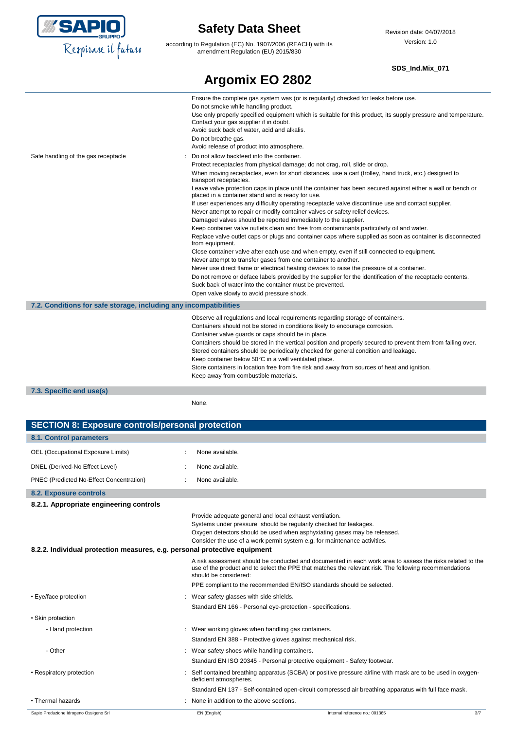

according to Regulation (EC) No. 1907/2006 (REACH) with its amendment Regulation (EU) 2015/830

**Argomix EO 2802**

### **SDS\_Ind.Mix\_071**

|                                                                   | Ensure the complete gas system was (or is regularily) checked for leaks before use.                                                                                                                                                                                                                                                                                                                                                                                                                                                                                                   |
|-------------------------------------------------------------------|---------------------------------------------------------------------------------------------------------------------------------------------------------------------------------------------------------------------------------------------------------------------------------------------------------------------------------------------------------------------------------------------------------------------------------------------------------------------------------------------------------------------------------------------------------------------------------------|
|                                                                   | Do not smoke while handling product.                                                                                                                                                                                                                                                                                                                                                                                                                                                                                                                                                  |
|                                                                   | Use only properly specified equipment which is suitable for this product, its supply pressure and temperature.<br>Contact your gas supplier if in doubt.                                                                                                                                                                                                                                                                                                                                                                                                                              |
|                                                                   | Avoid suck back of water, acid and alkalis.                                                                                                                                                                                                                                                                                                                                                                                                                                                                                                                                           |
|                                                                   | Do not breathe gas.                                                                                                                                                                                                                                                                                                                                                                                                                                                                                                                                                                   |
|                                                                   | Avoid release of product into atmosphere.                                                                                                                                                                                                                                                                                                                                                                                                                                                                                                                                             |
| Safe handling of the gas receptacle                               | Do not allow backfeed into the container.                                                                                                                                                                                                                                                                                                                                                                                                                                                                                                                                             |
|                                                                   | Protect receptacles from physical damage; do not drag, roll, slide or drop.                                                                                                                                                                                                                                                                                                                                                                                                                                                                                                           |
|                                                                   | When moving receptacles, even for short distances, use a cart (trolley, hand truck, etc.) designed to<br>transport receptacles.                                                                                                                                                                                                                                                                                                                                                                                                                                                       |
|                                                                   | Leave valve protection caps in place until the container has been secured against either a wall or bench or<br>placed in a container stand and is ready for use.                                                                                                                                                                                                                                                                                                                                                                                                                      |
|                                                                   | If user experiences any difficulty operating receptacle valve discontinue use and contact supplier.                                                                                                                                                                                                                                                                                                                                                                                                                                                                                   |
|                                                                   | Never attempt to repair or modify container valves or safety relief devices.                                                                                                                                                                                                                                                                                                                                                                                                                                                                                                          |
|                                                                   | Damaged valves should be reported immediately to the supplier.                                                                                                                                                                                                                                                                                                                                                                                                                                                                                                                        |
|                                                                   | Keep container valve outlets clean and free from contaminants particularly oil and water.                                                                                                                                                                                                                                                                                                                                                                                                                                                                                             |
|                                                                   | Replace valve outlet caps or plugs and container caps where supplied as soon as container is disconnected<br>from equipment.                                                                                                                                                                                                                                                                                                                                                                                                                                                          |
|                                                                   | Close container valve after each use and when empty, even if still connected to equipment.                                                                                                                                                                                                                                                                                                                                                                                                                                                                                            |
|                                                                   | Never attempt to transfer gases from one container to another.                                                                                                                                                                                                                                                                                                                                                                                                                                                                                                                        |
|                                                                   | Never use direct flame or electrical heating devices to raise the pressure of a container.                                                                                                                                                                                                                                                                                                                                                                                                                                                                                            |
|                                                                   | Do not remove or deface labels provided by the supplier for the identification of the receptacle contents.                                                                                                                                                                                                                                                                                                                                                                                                                                                                            |
|                                                                   | Suck back of water into the container must be prevented.                                                                                                                                                                                                                                                                                                                                                                                                                                                                                                                              |
|                                                                   | Open valve slowly to avoid pressure shock.                                                                                                                                                                                                                                                                                                                                                                                                                                                                                                                                            |
| 7.2. Conditions for safe storage, including any incompatibilities |                                                                                                                                                                                                                                                                                                                                                                                                                                                                                                                                                                                       |
|                                                                   | Observe all regulations and local requirements regarding storage of containers.<br>Containers should not be stored in conditions likely to encourage corrosion.<br>Container valve guards or caps should be in place.<br>Containers should be stored in the vertical position and properly secured to prevent them from falling over.<br>Stored containers should be periodically checked for general condition and leakage.<br>Keep container below 50°C in a well ventilated place.<br>Store containers in location free from fire risk and away from sources of heat and ignition. |
|                                                                   | Keep away from combustible materials.                                                                                                                                                                                                                                                                                                                                                                                                                                                                                                                                                 |
| 7.3. Specific end use(s)                                          |                                                                                                                                                                                                                                                                                                                                                                                                                                                                                                                                                                                       |

None.

| <b>SECTION 8: Exposure controls/personal protection</b>                   |                                                     |                                                                                                                                                                                                                                                                                       |     |
|---------------------------------------------------------------------------|-----------------------------------------------------|---------------------------------------------------------------------------------------------------------------------------------------------------------------------------------------------------------------------------------------------------------------------------------------|-----|
| 8.1. Control parameters                                                   |                                                     |                                                                                                                                                                                                                                                                                       |     |
| OEL (Occupational Exposure Limits)                                        | None available.                                     |                                                                                                                                                                                                                                                                                       |     |
| DNEL (Derived-No Effect Level)                                            | None available.                                     |                                                                                                                                                                                                                                                                                       |     |
| PNEC (Predicted No-Effect Concentration)                                  | None available.                                     |                                                                                                                                                                                                                                                                                       |     |
| 8.2. Exposure controls                                                    |                                                     |                                                                                                                                                                                                                                                                                       |     |
| 8.2.1. Appropriate engineering controls                                   |                                                     |                                                                                                                                                                                                                                                                                       |     |
|                                                                           |                                                     | Provide adequate general and local exhaust ventilation.<br>Systems under pressure should be regularily checked for leakages.<br>Oxygen detectors should be used when asphyxiating gases may be released.<br>Consider the use of a work permit system e.g. for maintenance activities. |     |
| 8.2.2. Individual protection measures, e.g. personal protective equipment |                                                     |                                                                                                                                                                                                                                                                                       |     |
|                                                                           | should be considered:                               | A risk assessment should be conducted and documented in each work area to assess the risks related to the<br>use of the product and to select the PPE that matches the relevant risk. The following recommendations                                                                   |     |
|                                                                           |                                                     | PPE compliant to the recommended EN/ISO standards should be selected.                                                                                                                                                                                                                 |     |
| • Eye/face protection                                                     | : Wear safety glasses with side shields.            |                                                                                                                                                                                                                                                                                       |     |
|                                                                           |                                                     | Standard EN 166 - Personal eye-protection - specifications.                                                                                                                                                                                                                           |     |
| • Skin protection                                                         |                                                     |                                                                                                                                                                                                                                                                                       |     |
| - Hand protection                                                         | : Wear working gloves when handling gas containers. |                                                                                                                                                                                                                                                                                       |     |
|                                                                           |                                                     | Standard EN 388 - Protective gloves against mechanical risk.                                                                                                                                                                                                                          |     |
| - Other                                                                   | Wear safety shoes while handling containers.        |                                                                                                                                                                                                                                                                                       |     |
|                                                                           |                                                     | Standard EN ISO 20345 - Personal protective equipment - Safety footwear.                                                                                                                                                                                                              |     |
| • Respiratory protection                                                  | deficient atmospheres.                              | Self contained breathing apparatus (SCBA) or positive pressure airline with mask are to be used in oxygen-                                                                                                                                                                            |     |
|                                                                           |                                                     | Standard EN 137 - Self-contained open-circuit compressed air breathing apparatus with full face mask.                                                                                                                                                                                 |     |
| • Thermal hazards                                                         | None in addition to the above sections.             |                                                                                                                                                                                                                                                                                       |     |
| Sapio Produzione Idrogeno Ossigeno Srl                                    | EN (English)                                        | Internal reference no.: 001365                                                                                                                                                                                                                                                        | 3/7 |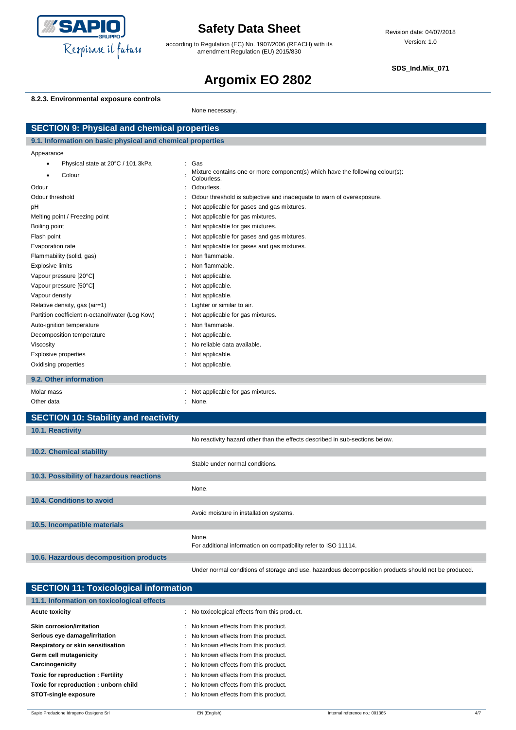

according to Regulation (EC) No. 1907/2006 (REACH) with its amendment Regulation (EU) 2015/830

**SDS\_Ind.Mix\_071**

# **Argomix EO 2802**

### **8.2.3. Environmental exposure controls**

None necessary.

| <b>SECTION 9: Physical and chemical properties</b>         |                                                                                                      |  |  |
|------------------------------------------------------------|------------------------------------------------------------------------------------------------------|--|--|
| 9.1. Information on basic physical and chemical properties |                                                                                                      |  |  |
| Appearance                                                 |                                                                                                      |  |  |
| Physical state at 20°C / 101.3kPa<br>$\bullet$             | Gas<br>$\ddot{\phantom{a}}$                                                                          |  |  |
| Colour<br>٠                                                | Mixture contains one or more component(s) which have the following colour(s):<br>Colourless.         |  |  |
| Odour                                                      | Odourless.<br>÷                                                                                      |  |  |
| Odour threshold                                            | Odour threshold is subjective and inadequate to warn of overexposure.                                |  |  |
| pH                                                         | Not applicable for gases and gas mixtures.<br>÷                                                      |  |  |
| Melting point / Freezing point                             | Not applicable for gas mixtures.<br>$\ddot{\phantom{a}}$                                             |  |  |
| Boiling point                                              | Not applicable for gas mixtures.                                                                     |  |  |
| Flash point                                                | Not applicable for gases and gas mixtures.                                                           |  |  |
| Evaporation rate                                           | Not applicable for gases and gas mixtures.                                                           |  |  |
| Flammability (solid, gas)                                  | Non flammable.                                                                                       |  |  |
| <b>Explosive limits</b>                                    | Non flammable.                                                                                       |  |  |
| Vapour pressure [20°C]                                     | Not applicable.                                                                                      |  |  |
| Vapour pressure [50°C]                                     | Not applicable.                                                                                      |  |  |
| Vapour density                                             | Not applicable.                                                                                      |  |  |
| Relative density, gas (air=1)                              | Lighter or similar to air.                                                                           |  |  |
| Partition coefficient n-octanol/water (Log Kow)            | Not applicable for gas mixtures.                                                                     |  |  |
| Auto-ignition temperature                                  | Non flammable.                                                                                       |  |  |
| Decomposition temperature                                  | Not applicable.                                                                                      |  |  |
| Viscosity                                                  | No reliable data available.                                                                          |  |  |
| <b>Explosive properties</b>                                | Not applicable.                                                                                      |  |  |
| Oxidising properties                                       | Not applicable.                                                                                      |  |  |
| 9.2. Other information                                     |                                                                                                      |  |  |
| Molar mass                                                 | : Not applicable for gas mixtures.                                                                   |  |  |
| Other data                                                 | : None.                                                                                              |  |  |
| <b>SECTION 10: Stability and reactivity</b>                |                                                                                                      |  |  |
| 10.1. Reactivity                                           |                                                                                                      |  |  |
|                                                            | No reactivity hazard other than the effects described in sub-sections below.                         |  |  |
| 10.2. Chemical stability                                   |                                                                                                      |  |  |
|                                                            | Stable under normal conditions.                                                                      |  |  |
| 10.3. Possibility of hazardous reactions                   |                                                                                                      |  |  |
|                                                            | None.                                                                                                |  |  |
|                                                            |                                                                                                      |  |  |
| 10.4. Conditions to avoid                                  |                                                                                                      |  |  |
|                                                            | Avoid moisture in installation systems.                                                              |  |  |
| 10.5. Incompatible materials                               |                                                                                                      |  |  |
|                                                            | None.                                                                                                |  |  |
|                                                            | For additional information on compatibility refer to ISO 11114.                                      |  |  |
| 10.6. Hazardous decomposition products                     |                                                                                                      |  |  |
|                                                            | Under normal conditions of storage and use, hazardous decomposition products should not be produced. |  |  |

| <b>SECTION 11: Toxicological information</b>  |  |  |  |  |
|-----------------------------------------------|--|--|--|--|
|                                               |  |  |  |  |
| : No toxicological effects from this product. |  |  |  |  |
| : No known effects from this product.         |  |  |  |  |
| : No known effects from this product.         |  |  |  |  |
| : No known effects from this product.         |  |  |  |  |
| : No known effects from this product.         |  |  |  |  |
| : No known effects from this product.         |  |  |  |  |
| : No known effects from this product.         |  |  |  |  |
| : No known effects from this product.         |  |  |  |  |
| : No known effects from this product.         |  |  |  |  |
|                                               |  |  |  |  |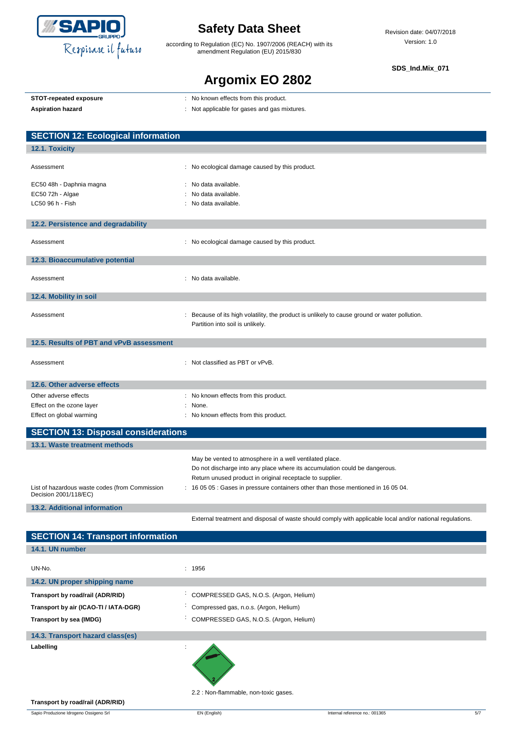

according to Regulation (EC) No. 1907/2006 (REACH) with its amendment Regulation (EU) 2015/830

**SDS\_Ind.Mix\_071**

# **Argomix EO 2802**

|  | STOT-repeated exposure |
|--|------------------------|
|  |                        |

- **STOT-repeated exposure** : No known effects from this product.
	-

Aspiration hazard<br> **Aspiration hazard in the set of the set of the set of the set of the set of the set of the set of the set of the set of the set of the set of the set of the set of the set of the set of the set of the** 

| <b>SECTION 12: Ecological information</b>                               |                                                                                                                                   |
|-------------------------------------------------------------------------|-----------------------------------------------------------------------------------------------------------------------------------|
| 12.1. Toxicity                                                          |                                                                                                                                   |
| Assessment                                                              | : No ecological damage caused by this product.                                                                                    |
| EC50 48h - Daphnia magna<br>EC50 72h - Algae                            | : No data available.<br>: No data available.                                                                                      |
| LC50 96 h - Fish                                                        | : No data available.                                                                                                              |
| 12.2. Persistence and degradability                                     |                                                                                                                                   |
| Assessment                                                              | : No ecological damage caused by this product.                                                                                    |
| 12.3. Bioaccumulative potential                                         |                                                                                                                                   |
| Assessment                                                              | : No data available.                                                                                                              |
| 12.4. Mobility in soil                                                  |                                                                                                                                   |
| Assessment                                                              | : Because of its high volatility, the product is unlikely to cause ground or water pollution.<br>Partition into soil is unlikely. |
| 12.5. Results of PBT and vPvB assessment                                |                                                                                                                                   |
| Assessment                                                              | : Not classified as PBT or vPvB.                                                                                                  |
| 12.6. Other adverse effects                                             |                                                                                                                                   |
| Other adverse effects                                                   | : No known effects from this product.                                                                                             |
| Effect on the ozone layer                                               | : None.                                                                                                                           |
| Effect on global warming                                                | : No known effects from this product.                                                                                             |
| <b>SECTION 13: Disposal considerations</b>                              |                                                                                                                                   |
| 13.1. Waste treatment methods                                           |                                                                                                                                   |
|                                                                         | May be vented to atmosphere in a well ventilated place.                                                                           |
|                                                                         | Do not discharge into any place where its accumulation could be dangerous.                                                        |
|                                                                         | Return unused product in original receptacle to supplier.                                                                         |
| List of hazardous waste codes (from Commission<br>Decision 2001/118/EC) | : 16 05 05 : Gases in pressure containers other than those mentioned in 16 05 04.                                                 |
| 13.2. Additional information                                            |                                                                                                                                   |
|                                                                         | External treatment and disposal of waste should comply with applicable local and/or national regulations.                         |

| <b>SECTION 14: Transport information</b> |                                                     |
|------------------------------------------|-----------------------------------------------------|
| 14.1. UN number                          |                                                     |
| UN-No.<br>14.2. UN proper shipping name  | : 1956                                              |
|                                          |                                                     |
| Transport by road/rail (ADR/RID)         | COMPRESSED GAS, N.O.S. (Argon, Helium)              |
| Transport by air (ICAO-TI / IATA-DGR)    | Compressed gas, n.o.s. (Argon, Helium)              |
| Transport by sea (IMDG)                  | COMPRESSED GAS, N.O.S. (Argon, Helium)<br>$\bullet$ |
| 14.3. Transport hazard class(es)         |                                                     |
| Labelling                                |                                                     |

2.2 : Non-flammable, non-toxic gases.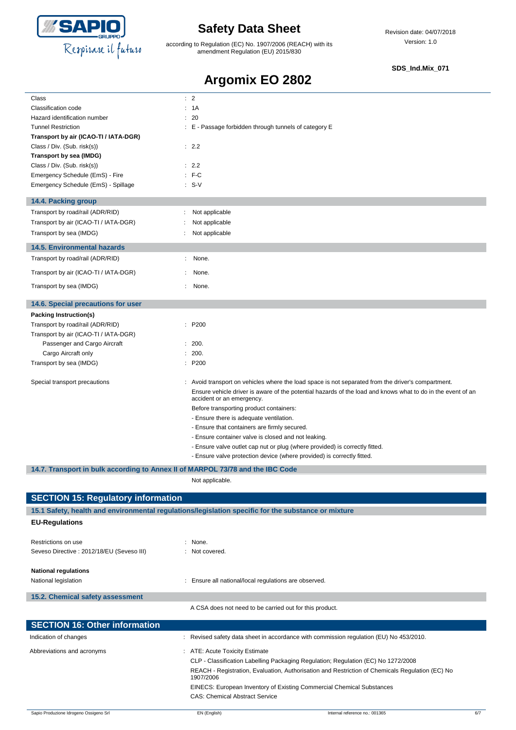

according to Regulation (EC) No. 1907/2006 (REACH) with its amendment Regulation (EU) 2015/830

#### **SDS\_Ind.Mix\_071**

### **Argomix EO 2802**

| Class                                                                          | $\therefore$ 2                                                                                                                                        |
|--------------------------------------------------------------------------------|-------------------------------------------------------------------------------------------------------------------------------------------------------|
| Classification code                                                            | : 1A                                                                                                                                                  |
| Hazard identification number                                                   | : 20                                                                                                                                                  |
| <b>Tunnel Restriction</b>                                                      | E - Passage forbidden through tunnels of category E                                                                                                   |
| Transport by air (ICAO-TI / IATA-DGR)                                          |                                                                                                                                                       |
| Class / Div. (Sub. risk(s))                                                    | : 2.2                                                                                                                                                 |
| Transport by sea (IMDG)                                                        |                                                                                                                                                       |
| Class / Div. (Sub. risk(s))                                                    | : 2.2                                                                                                                                                 |
| Emergency Schedule (EmS) - Fire<br>Emergency Schedule (EmS) - Spillage         | $:$ F-C<br>$\therefore$ S-V                                                                                                                           |
|                                                                                |                                                                                                                                                       |
| 14.4. Packing group                                                            |                                                                                                                                                       |
| Transport by road/rail (ADR/RID)                                               | Not applicable<br>÷                                                                                                                                   |
| Transport by air (ICAO-TI / IATA-DGR)                                          | Not applicable                                                                                                                                        |
| Transport by sea (IMDG)                                                        | Not applicable                                                                                                                                        |
| <b>14.5. Environmental hazards</b>                                             |                                                                                                                                                       |
| Transport by road/rail (ADR/RID)                                               | : None.                                                                                                                                               |
| Transport by air (ICAO-TI / IATA-DGR)                                          | None.                                                                                                                                                 |
| Transport by sea (IMDG)                                                        | None.                                                                                                                                                 |
|                                                                                |                                                                                                                                                       |
| 14.6. Special precautions for user                                             |                                                                                                                                                       |
| Packing Instruction(s)                                                         |                                                                                                                                                       |
| Transport by road/rail (ADR/RID)                                               | : P200                                                                                                                                                |
| Transport by air (ICAO-TI / IATA-DGR)                                          |                                                                                                                                                       |
| Passenger and Cargo Aircraft                                                   | 200.                                                                                                                                                  |
| Cargo Aircraft only<br>Transport by sea (IMDG)                                 | 200.<br>: P200                                                                                                                                        |
|                                                                                |                                                                                                                                                       |
| Special transport precautions                                                  | Avoid transport on vehicles where the load space is not separated from the driver's compartment.                                                      |
|                                                                                | Ensure vehicle driver is aware of the potential hazards of the load and knows what to do in the event of an                                           |
|                                                                                | accident or an emergency.                                                                                                                             |
|                                                                                | Before transporting product containers:                                                                                                               |
|                                                                                | - Ensure there is adequate ventilation.                                                                                                               |
|                                                                                | - Ensure that containers are firmly secured.                                                                                                          |
|                                                                                | - Ensure container valve is closed and not leaking.                                                                                                   |
|                                                                                | - Ensure valve outlet cap nut or plug (where provided) is correctly fitted.<br>- Ensure valve protection device (where provided) is correctly fitted. |
|                                                                                |                                                                                                                                                       |
| 14.7. Transport in bulk according to Annex II of MARPOL 73/78 and the IBC Code |                                                                                                                                                       |
|                                                                                | Not applicable.                                                                                                                                       |
| <b>SECTION 15: Regulatory information</b>                                      |                                                                                                                                                       |
|                                                                                | 15.1 Safety, health and environmental regulations/legislation specific for the substance or mixture                                                   |
| <b>EU-Regulations</b>                                                          |                                                                                                                                                       |
|                                                                                |                                                                                                                                                       |
| Restrictions on use                                                            | : None.                                                                                                                                               |
| Seveso Directive : 2012/18/EU (Seveso III)                                     | : Not covered.                                                                                                                                        |
|                                                                                |                                                                                                                                                       |
| <b>National regulations</b><br>National legislation                            | : Ensure all national/local regulations are observed.                                                                                                 |
|                                                                                |                                                                                                                                                       |
| 15.2. Chemical safety assessment                                               |                                                                                                                                                       |
|                                                                                | A CSA does not need to be carried out for this product.                                                                                               |
|                                                                                |                                                                                                                                                       |